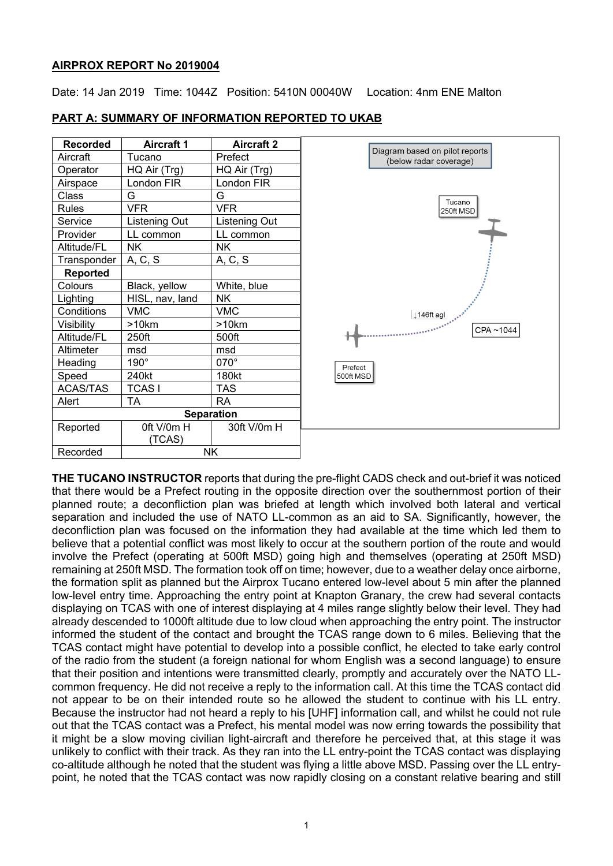### **AIRPROX REPORT No 2019004**

Date: 14 Jan 2019 Time: 1044Z Position: 5410N 00040W Location: 4nm ENE Malton

pilot reports overage)

Tucano 250ft MSD

CPA~1044

| <b>Recorded</b> | <b>Aircraft 1</b> | <b>Aircraft 2</b> |                                       |
|-----------------|-------------------|-------------------|---------------------------------------|
| Aircraft        | Tucano            | Prefect           | Diagram based on p<br>(below radar co |
| Operator        | HQ Air (Trg)      | HQ Air (Trg)      |                                       |
| Airspace        | London FIR        | London FIR        |                                       |
| Class           | G                 | G                 |                                       |
| <b>Rules</b>    | <b>VFR</b>        | <b>VFR</b>        | $\overline{a}$                        |
| Service         | Listening Out     | Listening Out     |                                       |
| Provider        | LL common         | LL common         |                                       |
| Altitude/FL     | NΚ                | ΝK                |                                       |
| Transponder     | A, C, S           | A, C, S           |                                       |
| <b>Reported</b> |                   |                   |                                       |
| Colours         | Black, yellow     | White, blue       |                                       |
| Lighting        | HISL, nav, land   | NK.               |                                       |
| Conditions      | <b>VMC</b>        | <b>VMC</b>        | ↓146ft agl                            |
| Visibility      | >10km             | >10km             |                                       |
| Altitude/FL     | 250ft             | 500ft             |                                       |
| Altimeter       | msd               | msd               |                                       |
| Heading         | $190^\circ$       | 070°              | Prefect                               |
| Speed           | 240kt             | 180kt             | 500ft MSD                             |
| <b>ACAS/TAS</b> | TCAS I            | TAS               |                                       |
| Alert           | <b>TA</b>         | RA                |                                       |
|                 |                   | <b>Separation</b> |                                       |
| Reported        | Oft V/0m H        | 30ft V/0m H       |                                       |
|                 | (TCAS)            |                   |                                       |
| Recorded        |                   | <b>NK</b>         |                                       |

# **PART A: SUMMARY OF INFORMATION REPORTED TO UKAB**

**THE TUCANO INSTRUCTOR** reports that during the pre-flight CADS check and out-brief it was noticed that there would be a Prefect routing in the opposite direction over the southernmost portion of their planned route; a deconfliction plan was briefed at length which involved both lateral and vertical separation and included the use of NATO LL-common as an aid to SA. Significantly, however, the deconfliction plan was focused on the information they had available at the time which led them to believe that a potential conflict was most likely to occur at the southern portion of the route and would involve the Prefect (operating at 500ft MSD) going high and themselves (operating at 250ft MSD) remaining at 250ft MSD. The formation took off on time; however, due to a weather delay once airborne, the formation split as planned but the Airprox Tucano entered low-level about 5 min after the planned low-level entry time. Approaching the entry point at Knapton Granary, the crew had several contacts displaying on TCAS with one of interest displaying at 4 miles range slightly below their level. They had already descended to 1000ft altitude due to low cloud when approaching the entry point. The instructor informed the student of the contact and brought the TCAS range down to 6 miles. Believing that the TCAS contact might have potential to develop into a possible conflict, he elected to take early control of the radio from the student (a foreign national for whom English was a second language) to ensure that their position and intentions were transmitted clearly, promptly and accurately over the NATO LLcommon frequency. He did not receive a reply to the information call. At this time the TCAS contact did not appear to be on their intended route so he allowed the student to continue with his LL entry. Because the instructor had not heard a reply to his [UHF] information call, and whilst he could not rule out that the TCAS contact was a Prefect, his mental model was now erring towards the possibility that it might be a slow moving civilian light-aircraft and therefore he perceived that, at this stage it was unlikely to conflict with their track. As they ran into the LL entry-point the TCAS contact was displaying co-altitude although he noted that the student was flying a little above MSD. Passing over the LL entrypoint, he noted that the TCAS contact was now rapidly closing on a constant relative bearing and still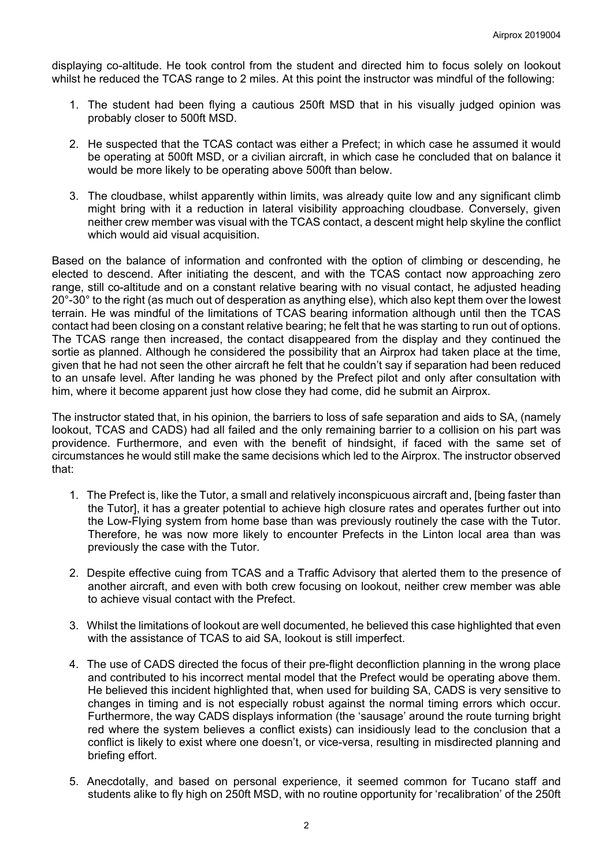displaying co-altitude. He took control from the student and directed him to focus solely on lookout whilst he reduced the TCAS range to 2 miles. At this point the instructor was mindful of the following:

- 1. The student had been flying a cautious 250ft MSD that in his visually judged opinion was probably closer to 500ft MSD.
- 2. He suspected that the TCAS contact was either a Prefect; in which case he assumed it would be operating at 500ft MSD, or a civilian aircraft, in which case he concluded that on balance it would be more likely to be operating above 500ft than below.
- 3. The cloudbase, whilst apparently within limits, was already quite low and any significant climb might bring with it a reduction in lateral visibility approaching cloudbase. Conversely, given neither crew member was visual with the TCAS contact, a descent might help skyline the conflict which would aid visual acquisition.

Based on the balance of information and confronted with the option of climbing or descending, he elected to descend. After initiating the descent, and with the TCAS contact now approaching zero range, still co-altitude and on a constant relative bearing with no visual contact, he adjusted heading 20°-30° to the right (as much out of desperation as anything else), which also kept them over the lowest terrain. He was mindful of the limitations of TCAS bearing information although until then the TCAS contact had been closing on a constant relative bearing; he felt that he was starting to run out of options. The TCAS range then increased, the contact disappeared from the display and they continued the sortie as planned. Although he considered the possibility that an Airprox had taken place at the time, given that he had not seen the other aircraft he felt that he couldn't say if separation had been reduced to an unsafe level. After landing he was phoned by the Prefect pilot and only after consultation with him, where it become apparent just how close they had come, did he submit an Airprox.

The instructor stated that, in his opinion, the barriers to loss of safe separation and aids to SA, (namely lookout, TCAS and CADS) had all failed and the only remaining barrier to a collision on his part was providence. Furthermore, and even with the benefit of hindsight, if faced with the same set of circumstances he would still make the same decisions which led to the Airprox. The instructor observed that:

- 1. The Prefect is, like the Tutor, a small and relatively inconspicuous aircraft and, [being faster than the Tutor], it has a greater potential to achieve high closure rates and operates further out into the Low-Flying system from home base than was previously routinely the case with the Tutor. Therefore, he was now more likely to encounter Prefects in the Linton local area than was previously the case with the Tutor.
- 2. Despite effective cuing from TCAS and a Traffic Advisory that alerted them to the presence of another aircraft, and even with both crew focusing on lookout, neither crew member was able to achieve visual contact with the Prefect.
- 3. Whilst the limitations of lookout are well documented, he believed this case highlighted that even with the assistance of TCAS to aid SA, lookout is still imperfect.
- 4. The use of CADS directed the focus of their pre-flight deconfliction planning in the wrong place and contributed to his incorrect mental model that the Prefect would be operating above them. He believed this incident highlighted that, when used for building SA, CADS is very sensitive to changes in timing and is not especially robust against the normal timing errors which occur. Furthermore, the way CADS displays information (the 'sausage' around the route turning bright red where the system believes a conflict exists) can insidiously lead to the conclusion that a conflict is likely to exist where one doesn't, or vice-versa, resulting in misdirected planning and briefing effort.
- 5. Anecdotally, and based on personal experience, it seemed common for Tucano staff and students alike to fly high on 250ft MSD, with no routine opportunity for 'recalibration' of the 250ft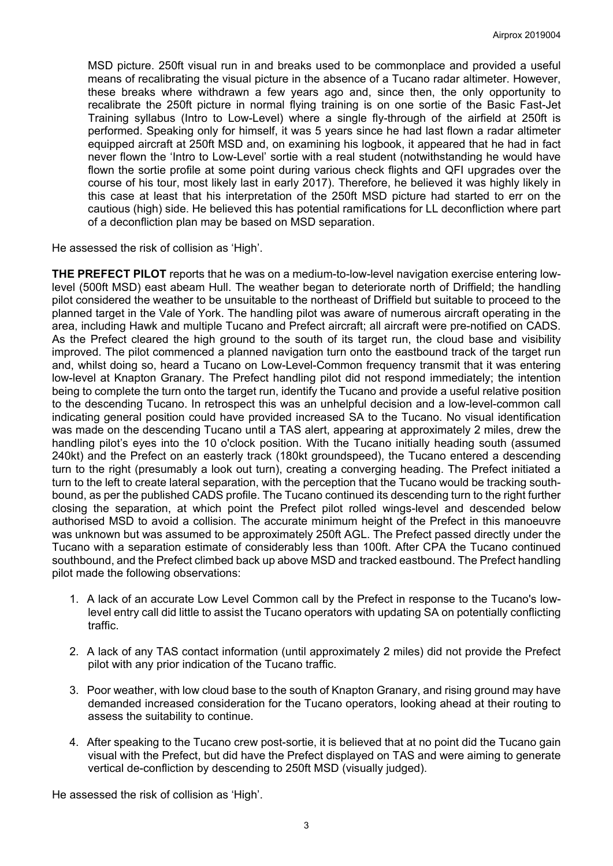MSD picture. 250ft visual run in and breaks used to be commonplace and provided a useful means of recalibrating the visual picture in the absence of a Tucano radar altimeter. However, these breaks where withdrawn a few years ago and, since then, the only opportunity to recalibrate the 250ft picture in normal flying training is on one sortie of the Basic Fast-Jet Training syllabus (Intro to Low-Level) where a single fly-through of the airfield at 250ft is performed. Speaking only for himself, it was 5 years since he had last flown a radar altimeter equipped aircraft at 250ft MSD and, on examining his logbook, it appeared that he had in fact never flown the 'Intro to Low-Level' sortie with a real student (notwithstanding he would have flown the sortie profile at some point during various check flights and QFI upgrades over the course of his tour, most likely last in early 2017). Therefore, he believed it was highly likely in this case at least that his interpretation of the 250ft MSD picture had started to err on the cautious (high) side. He believed this has potential ramifications for LL deconfliction where part of a deconfliction plan may be based on MSD separation.

He assessed the risk of collision as 'High'.

**THE PREFECT PILOT** reports that he was on a medium-to-low-level navigation exercise entering lowlevel (500ft MSD) east abeam Hull. The weather began to deteriorate north of Driffield; the handling pilot considered the weather to be unsuitable to the northeast of Driffield but suitable to proceed to the planned target in the Vale of York. The handling pilot was aware of numerous aircraft operating in the area, including Hawk and multiple Tucano and Prefect aircraft; all aircraft were pre-notified on CADS. As the Prefect cleared the high ground to the south of its target run, the cloud base and visibility improved. The pilot commenced a planned navigation turn onto the eastbound track of the target run and, whilst doing so, heard a Tucano on Low-Level-Common frequency transmit that it was entering low-level at Knapton Granary. The Prefect handling pilot did not respond immediately; the intention being to complete the turn onto the target run, identify the Tucano and provide a useful relative position to the descending Tucano. In retrospect this was an unhelpful decision and a low-level-common call indicating general position could have provided increased SA to the Tucano. No visual identification was made on the descending Tucano until a TAS alert, appearing at approximately 2 miles, drew the handling pilot's eyes into the 10 o'clock position. With the Tucano initially heading south (assumed 240kt) and the Prefect on an easterly track (180kt groundspeed), the Tucano entered a descending turn to the right (presumably a look out turn), creating a converging heading. The Prefect initiated a turn to the left to create lateral separation, with the perception that the Tucano would be tracking southbound, as per the published CADS profile. The Tucano continued its descending turn to the right further closing the separation, at which point the Prefect pilot rolled wings-level and descended below authorised MSD to avoid a collision. The accurate minimum height of the Prefect in this manoeuvre was unknown but was assumed to be approximately 250ft AGL. The Prefect passed directly under the Tucano with a separation estimate of considerably less than 100ft. After CPA the Tucano continued southbound, and the Prefect climbed back up above MSD and tracked eastbound. The Prefect handling pilot made the following observations:

- 1. A lack of an accurate Low Level Common call by the Prefect in response to the Tucano's lowlevel entry call did little to assist the Tucano operators with updating SA on potentially conflicting traffic.
- 2. A lack of any TAS contact information (until approximately 2 miles) did not provide the Prefect pilot with any prior indication of the Tucano traffic.
- 3. Poor weather, with low cloud base to the south of Knapton Granary, and rising ground may have demanded increased consideration for the Tucano operators, looking ahead at their routing to assess the suitability to continue.
- 4. After speaking to the Tucano crew post-sortie, it is believed that at no point did the Tucano gain visual with the Prefect, but did have the Prefect displayed on TAS and were aiming to generate vertical de-confliction by descending to 250ft MSD (visually judged).

He assessed the risk of collision as 'High'.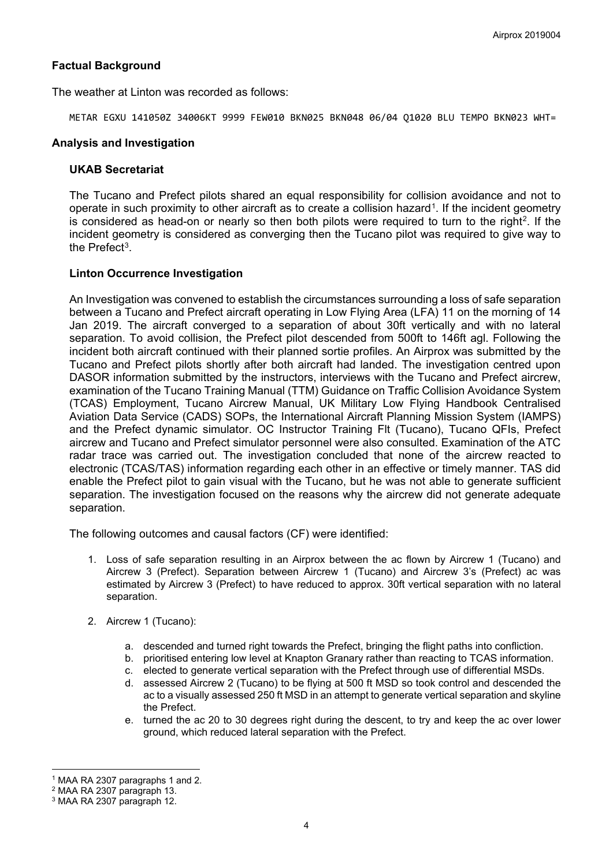# **Factual Background**

The weather at Linton was recorded as follows:

METAR EGXU 141050Z 34006KT 9999 FEW010 BKN025 BKN048 06/04 Q1020 BLU TEMPO BKN023 WHT=

### **Analysis and Investigation**

### **UKAB Secretariat**

The Tucano and Prefect pilots shared an equal responsibility for collision avoidance and not to operate in such proximity to other aircraft as to create a collision hazard<sup>[1](#page-3-0)</sup>. If the incident geometry is considered as head-on or nearly so then both pilots were required to turn to the right<sup>2</sup>. If the incident geometry is considered as converging then the Tucano pilot was required to give way to the Prefect<sup>[3](#page-3-2)</sup>.

## **Linton Occurrence Investigation**

An Investigation was convened to establish the circumstances surrounding a loss of safe separation between a Tucano and Prefect aircraft operating in Low Flying Area (LFA) 11 on the morning of 14 Jan 2019. The aircraft converged to a separation of about 30ft vertically and with no lateral separation. To avoid collision, the Prefect pilot descended from 500ft to 146ft agl. Following the incident both aircraft continued with their planned sortie profiles. An Airprox was submitted by the Tucano and Prefect pilots shortly after both aircraft had landed. The investigation centred upon DASOR information submitted by the instructors, interviews with the Tucano and Prefect aircrew, examination of the Tucano Training Manual (TTM) Guidance on Traffic Collision Avoidance System (TCAS) Employment, Tucano Aircrew Manual, UK Military Low Flying Handbook Centralised Aviation Data Service (CADS) SOPs, the International Aircraft Planning Mission System (IAMPS) and the Prefect dynamic simulator. OC Instructor Training Flt (Tucano), Tucano QFIs, Prefect aircrew and Tucano and Prefect simulator personnel were also consulted. Examination of the ATC radar trace was carried out. The investigation concluded that none of the aircrew reacted to electronic (TCAS/TAS) information regarding each other in an effective or timely manner. TAS did enable the Prefect pilot to gain visual with the Tucano, but he was not able to generate sufficient separation. The investigation focused on the reasons why the aircrew did not generate adequate separation.

The following outcomes and causal factors (CF) were identified:

- 1. Loss of safe separation resulting in an Airprox between the ac flown by Aircrew 1 (Tucano) and Aircrew 3 (Prefect). Separation between Aircrew 1 (Tucano) and Aircrew 3's (Prefect) ac was estimated by Aircrew 3 (Prefect) to have reduced to approx. 30ft vertical separation with no lateral separation.
- 2. Aircrew 1 (Tucano):
	- a. descended and turned right towards the Prefect, bringing the flight paths into confliction.
	- b. prioritised entering low level at Knapton Granary rather than reacting to TCAS information.
	- c. elected to generate vertical separation with the Prefect through use of differential MSDs.
	- d. assessed Aircrew 2 (Tucano) to be flying at 500 ft MSD so took control and descended the ac to a visually assessed 250 ft MSD in an attempt to generate vertical separation and skyline the Prefect.
	- e. turned the ac 20 to 30 degrees right during the descent, to try and keep the ac over lower ground, which reduced lateral separation with the Prefect.

 $\overline{a}$ <sup>1</sup> MAA RA 2307 paragraphs 1 and 2.

<span id="page-3-1"></span><span id="page-3-0"></span><sup>2</sup> MAA RA 2307 paragraph 13.

<span id="page-3-2"></span><sup>3</sup> MAA RA 2307 paragraph 12.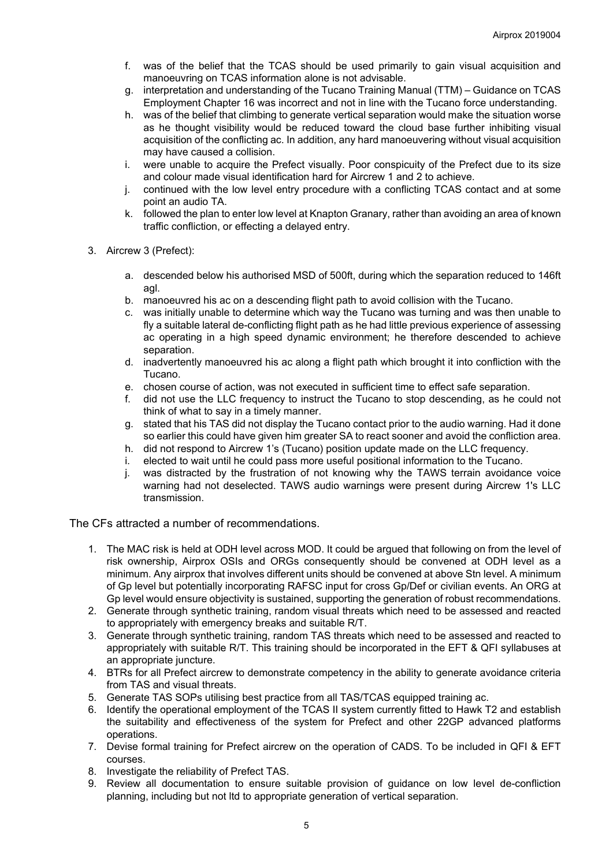- f. was of the belief that the TCAS should be used primarily to gain visual acquisition and manoeuvring on TCAS information alone is not advisable.
- g. interpretation and understanding of the Tucano Training Manual (TTM) Guidance on TCAS Employment Chapter 16 was incorrect and not in line with the Tucano force understanding.
- h. was of the belief that climbing to generate vertical separation would make the situation worse as he thought visibility would be reduced toward the cloud base further inhibiting visual acquisition of the conflicting ac. In addition, any hard manoeuvering without visual acquisition may have caused a collision.
- i. were unable to acquire the Prefect visually. Poor conspicuity of the Prefect due to its size and colour made visual identification hard for Aircrew 1 and 2 to achieve.
- j. continued with the low level entry procedure with a conflicting TCAS contact and at some point an audio TA.
- k. followed the plan to enter low level at Knapton Granary, rather than avoiding an area of known traffic confliction, or effecting a delayed entry.
- 3. Aircrew 3 (Prefect):
	- a. descended below his authorised MSD of 500ft, during which the separation reduced to 146ft agl.
	- b. manoeuvred his ac on a descending flight path to avoid collision with the Tucano.
	- c. was initially unable to determine which way the Tucano was turning and was then unable to fly a suitable lateral de-conflicting flight path as he had little previous experience of assessing ac operating in a high speed dynamic environment; he therefore descended to achieve separation.
	- d. inadvertently manoeuvred his ac along a flight path which brought it into confliction with the Tucano.
	- e. chosen course of action, was not executed in sufficient time to effect safe separation.
	- f. did not use the LLC frequency to instruct the Tucano to stop descending, as he could not think of what to say in a timely manner.
	- g. stated that his TAS did not display the Tucano contact prior to the audio warning. Had it done so earlier this could have given him greater SA to react sooner and avoid the confliction area.
	- h. did not respond to Aircrew 1's (Tucano) position update made on the LLC frequency.
	- i. elected to wait until he could pass more useful positional information to the Tucano.
	- j. was distracted by the frustration of not knowing why the TAWS terrain avoidance voice warning had not deselected. TAWS audio warnings were present during Aircrew 1's LLC transmission.

The CFs attracted a number of recommendations.

- 1. The MAC risk is held at ODH level across MOD. It could be argued that following on from the level of risk ownership, Airprox OSIs and ORGs consequently should be convened at ODH level as a minimum. Any airprox that involves different units should be convened at above Stn level. A minimum of Gp level but potentially incorporating RAFSC input for cross Gp/Def or civilian events. An ORG at Gp level would ensure objectivity is sustained, supporting the generation of robust recommendations.
- 2. Generate through synthetic training, random visual threats which need to be assessed and reacted to appropriately with emergency breaks and suitable R/T.
- 3. Generate through synthetic training, random TAS threats which need to be assessed and reacted to appropriately with suitable R/T. This training should be incorporated in the EFT & QFI syllabuses at an appropriate juncture.
- 4. BTRs for all Prefect aircrew to demonstrate competency in the ability to generate avoidance criteria from TAS and visual threats.
- 5. Generate TAS SOPs utilising best practice from all TAS/TCAS equipped training ac.
- 6. Identify the operational employment of the TCAS II system currently fitted to Hawk T2 and establish the suitability and effectiveness of the system for Prefect and other 22GP advanced platforms operations.
- 7. Devise formal training for Prefect aircrew on the operation of CADS. To be included in QFI & EFT courses.
- 8. Investigate the reliability of Prefect TAS.
- 9. Review all documentation to ensure suitable provision of guidance on low level de-confliction planning, including but not ltd to appropriate generation of vertical separation.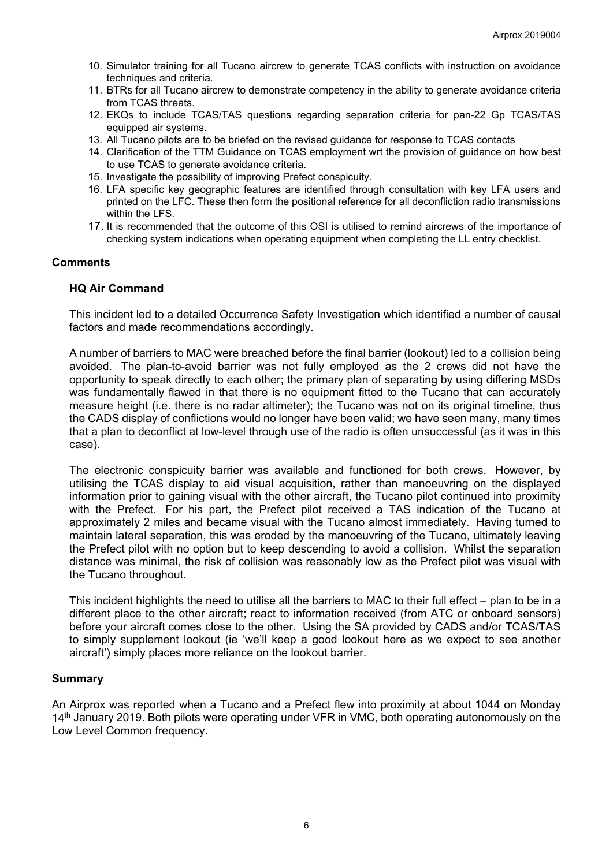- 10. Simulator training for all Tucano aircrew to generate TCAS conflicts with instruction on avoidance techniques and criteria.
- 11. BTRs for all Tucano aircrew to demonstrate competency in the ability to generate avoidance criteria from TCAS threats.
- 12. EKQs to include TCAS/TAS questions regarding separation criteria for pan-22 Gp TCAS/TAS equipped air systems.
- 13. All Tucano pilots are to be briefed on the revised guidance for response to TCAS contacts
- 14. Clarification of the TTM Guidance on TCAS employment wrt the provision of guidance on how best to use TCAS to generate avoidance criteria.
- 15. Investigate the possibility of improving Prefect conspicuity.
- 16. LFA specific key geographic features are identified through consultation with key LFA users and printed on the LFC. These then form the positional reference for all deconfliction radio transmissions within the LFS.
- 17. It is recommended that the outcome of this OSI is utilised to remind aircrews of the importance of checking system indications when operating equipment when completing the LL entry checklist.

#### **Comments**

## **HQ Air Command**

This incident led to a detailed Occurrence Safety Investigation which identified a number of causal factors and made recommendations accordingly.

A number of barriers to MAC were breached before the final barrier (lookout) led to a collision being avoided. The plan-to-avoid barrier was not fully employed as the 2 crews did not have the opportunity to speak directly to each other; the primary plan of separating by using differing MSDs was fundamentally flawed in that there is no equipment fitted to the Tucano that can accurately measure height (i.e. there is no radar altimeter); the Tucano was not on its original timeline, thus the CADS display of conflictions would no longer have been valid; we have seen many, many times that a plan to deconflict at low-level through use of the radio is often unsuccessful (as it was in this case).

The electronic conspicuity barrier was available and functioned for both crews. However, by utilising the TCAS display to aid visual acquisition, rather than manoeuvring on the displayed information prior to gaining visual with the other aircraft, the Tucano pilot continued into proximity with the Prefect. For his part, the Prefect pilot received a TAS indication of the Tucano at approximately 2 miles and became visual with the Tucano almost immediately. Having turned to maintain lateral separation, this was eroded by the manoeuvring of the Tucano, ultimately leaving the Prefect pilot with no option but to keep descending to avoid a collision. Whilst the separation distance was minimal, the risk of collision was reasonably low as the Prefect pilot was visual with the Tucano throughout.

This incident highlights the need to utilise all the barriers to MAC to their full effect – plan to be in a different place to the other aircraft; react to information received (from ATC or onboard sensors) before your aircraft comes close to the other. Using the SA provided by CADS and/or TCAS/TAS to simply supplement lookout (ie 'we'll keep a good lookout here as we expect to see another aircraft') simply places more reliance on the lookout barrier.

#### **Summary**

An Airprox was reported when a Tucano and a Prefect flew into proximity at about 1044 on Monday 14<sup>th</sup> January 2019. Both pilots were operating under VFR in VMC, both operating autonomously on the Low Level Common frequency.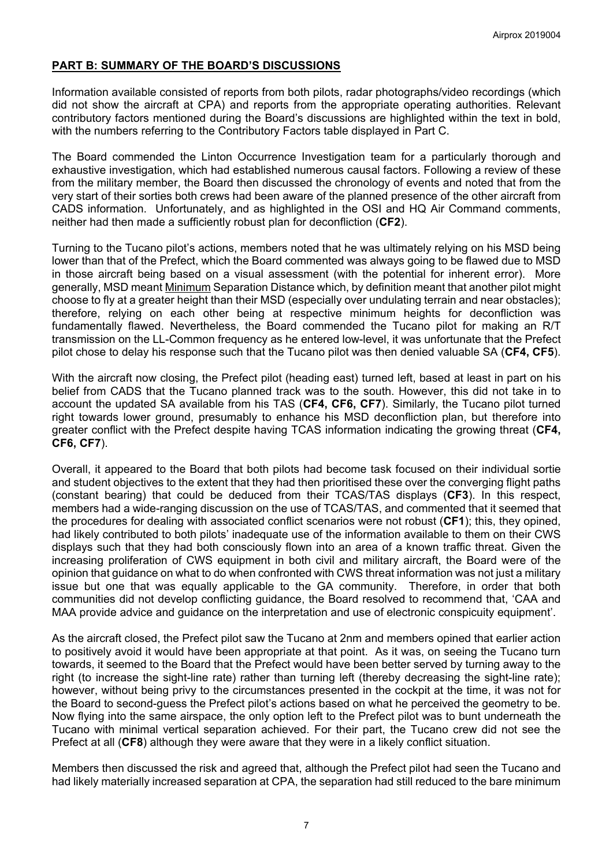# **PART B: SUMMARY OF THE BOARD'S DISCUSSIONS**

Information available consisted of reports from both pilots, radar photographs/video recordings (which did not show the aircraft at CPA) and reports from the appropriate operating authorities. Relevant contributory factors mentioned during the Board's discussions are highlighted within the text in bold, with the numbers referring to the Contributory Factors table displayed in Part C.

The Board commended the Linton Occurrence Investigation team for a particularly thorough and exhaustive investigation, which had established numerous causal factors. Following a review of these from the military member, the Board then discussed the chronology of events and noted that from the very start of their sorties both crews had been aware of the planned presence of the other aircraft from CADS information. Unfortunately, and as highlighted in the OSI and HQ Air Command comments, neither had then made a sufficiently robust plan for deconfliction (**CF2**).

Turning to the Tucano pilot's actions, members noted that he was ultimately relying on his MSD being lower than that of the Prefect, which the Board commented was always going to be flawed due to MSD in those aircraft being based on a visual assessment (with the potential for inherent error). More generally, MSD meant Minimum Separation Distance which, by definition meant that another pilot might choose to fly at a greater height than their MSD (especially over undulating terrain and near obstacles); therefore, relying on each other being at respective minimum heights for deconfliction was fundamentally flawed. Nevertheless, the Board commended the Tucano pilot for making an R/T transmission on the LL-Common frequency as he entered low-level, it was unfortunate that the Prefect pilot chose to delay his response such that the Tucano pilot was then denied valuable SA (**CF4, CF5**).

With the aircraft now closing, the Prefect pilot (heading east) turned left, based at least in part on his belief from CADS that the Tucano planned track was to the south. However, this did not take in to account the updated SA available from his TAS (**CF4, CF6, CF7**). Similarly, the Tucano pilot turned right towards lower ground, presumably to enhance his MSD deconfliction plan, but therefore into greater conflict with the Prefect despite having TCAS information indicating the growing threat (**CF4, CF6, CF7**).

Overall, it appeared to the Board that both pilots had become task focused on their individual sortie and student objectives to the extent that they had then prioritised these over the converging flight paths (constant bearing) that could be deduced from their TCAS/TAS displays (**CF3**). In this respect, members had a wide-ranging discussion on the use of TCAS/TAS, and commented that it seemed that the procedures for dealing with associated conflict scenarios were not robust (**CF1**); this, they opined, had likely contributed to both pilots' inadequate use of the information available to them on their CWS displays such that they had both consciously flown into an area of a known traffic threat. Given the increasing proliferation of CWS equipment in both civil and military aircraft, the Board were of the opinion that guidance on what to do when confronted with CWS threat information was not just a military issue but one that was equally applicable to the GA community. Therefore, in order that both communities did not develop conflicting guidance, the Board resolved to recommend that, 'CAA and MAA provide advice and guidance on the interpretation and use of electronic conspicuity equipment'.

As the aircraft closed, the Prefect pilot saw the Tucano at 2nm and members opined that earlier action to positively avoid it would have been appropriate at that point. As it was, on seeing the Tucano turn towards, it seemed to the Board that the Prefect would have been better served by turning away to the right (to increase the sight-line rate) rather than turning left (thereby decreasing the sight-line rate); however, without being privy to the circumstances presented in the cockpit at the time, it was not for the Board to second-guess the Prefect pilot's actions based on what he perceived the geometry to be. Now flying into the same airspace, the only option left to the Prefect pilot was to bunt underneath the Tucano with minimal vertical separation achieved. For their part, the Tucano crew did not see the Prefect at all (**CF8**) although they were aware that they were in a likely conflict situation.

Members then discussed the risk and agreed that, although the Prefect pilot had seen the Tucano and had likely materially increased separation at CPA, the separation had still reduced to the bare minimum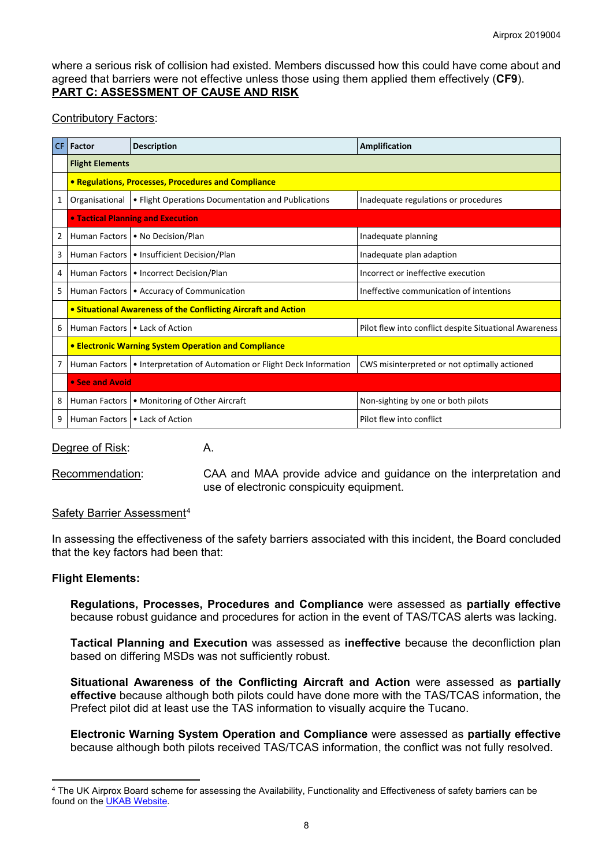where a serious risk of collision had existed. Members discussed how this could have come about and agreed that barriers were not effective unless those using them applied them effectively (**CF9**). **PART C: ASSESSMENT OF CAUSE AND RISK**

## Contributory Factors:

| CF. | Factor                                                         | <b>Description</b>                                                        | Amplification                                          |  |  |  |  |  |  |  |
|-----|----------------------------------------------------------------|---------------------------------------------------------------------------|--------------------------------------------------------|--|--|--|--|--|--|--|
|     | <b>Flight Elements</b>                                         |                                                                           |                                                        |  |  |  |  |  |  |  |
|     |                                                                | • Regulations, Processes, Procedures and Compliance                       |                                                        |  |  |  |  |  |  |  |
| 1   | Organisational                                                 | • Flight Operations Documentation and Publications                        | Inadequate regulations or procedures                   |  |  |  |  |  |  |  |
|     |                                                                | • Tactical Planning and Execution                                         |                                                        |  |  |  |  |  |  |  |
| 2   |                                                                | Human Factors   • No Decision/Plan                                        | Inadequate planning                                    |  |  |  |  |  |  |  |
| 3   |                                                                | Human Factors   • Insufficient Decision/Plan                              | Inadequate plan adaption                               |  |  |  |  |  |  |  |
| 4   |                                                                | Human Factors   • Incorrect Decision/Plan                                 | Incorrect or ineffective execution                     |  |  |  |  |  |  |  |
| 5   |                                                                | Human Factors   • Accuracy of Communication                               | Ineffective communication of intentions                |  |  |  |  |  |  |  |
|     | • Situational Awareness of the Conflicting Aircraft and Action |                                                                           |                                                        |  |  |  |  |  |  |  |
| 6   |                                                                | Human Factors   • Lack of Action                                          | Pilot flew into conflict despite Situational Awareness |  |  |  |  |  |  |  |
|     | <b>• Electronic Warning System Operation and Compliance</b>    |                                                                           |                                                        |  |  |  |  |  |  |  |
| 7   |                                                                | Human Factors   • Interpretation of Automation or Flight Deck Information | CWS misinterpreted or not optimally actioned           |  |  |  |  |  |  |  |
|     | • See and Avoid                                                |                                                                           |                                                        |  |  |  |  |  |  |  |
| 8   | Human Factors                                                  | • Monitoring of Other Aircraft                                            | Non-sighting by one or both pilots                     |  |  |  |  |  |  |  |
| 9   | Human Factors   • Lack of Action                               |                                                                           | Pilot flew into conflict                               |  |  |  |  |  |  |  |

Degree of Risk: A.

Recommendation: CAA and MAA provide advice and guidance on the interpretation and use of electronic conspicuity equipment.

## Safety Barrier Assessment[4](#page-7-0)

In assessing the effectiveness of the safety barriers associated with this incident, the Board concluded that the key factors had been that:

#### **Flight Elements:**

 $\overline{a}$ 

**Regulations, Processes, Procedures and Compliance** were assessed as **partially effective** because robust guidance and procedures for action in the event of TAS/TCAS alerts was lacking.

**Tactical Planning and Execution** was assessed as **ineffective** because the deconfliction plan based on differing MSDs was not sufficiently robust.

**Situational Awareness of the Conflicting Aircraft and Action** were assessed as **partially effective** because although both pilots could have done more with the TAS/TCAS information, the Prefect pilot did at least use the TAS information to visually acquire the Tucano.

**Electronic Warning System Operation and Compliance** were assessed as **partially effective** because although both pilots received TAS/TCAS information, the conflict was not fully resolved.

<span id="page-7-0"></span><sup>4</sup> The UK Airprox Board scheme for assessing the Availability, Functionality and Effectiveness of safety barriers can be found on the [UKAB Website.](http://www.airproxboard.org.uk/Learn-more/Airprox-Barrier-Assessment/)